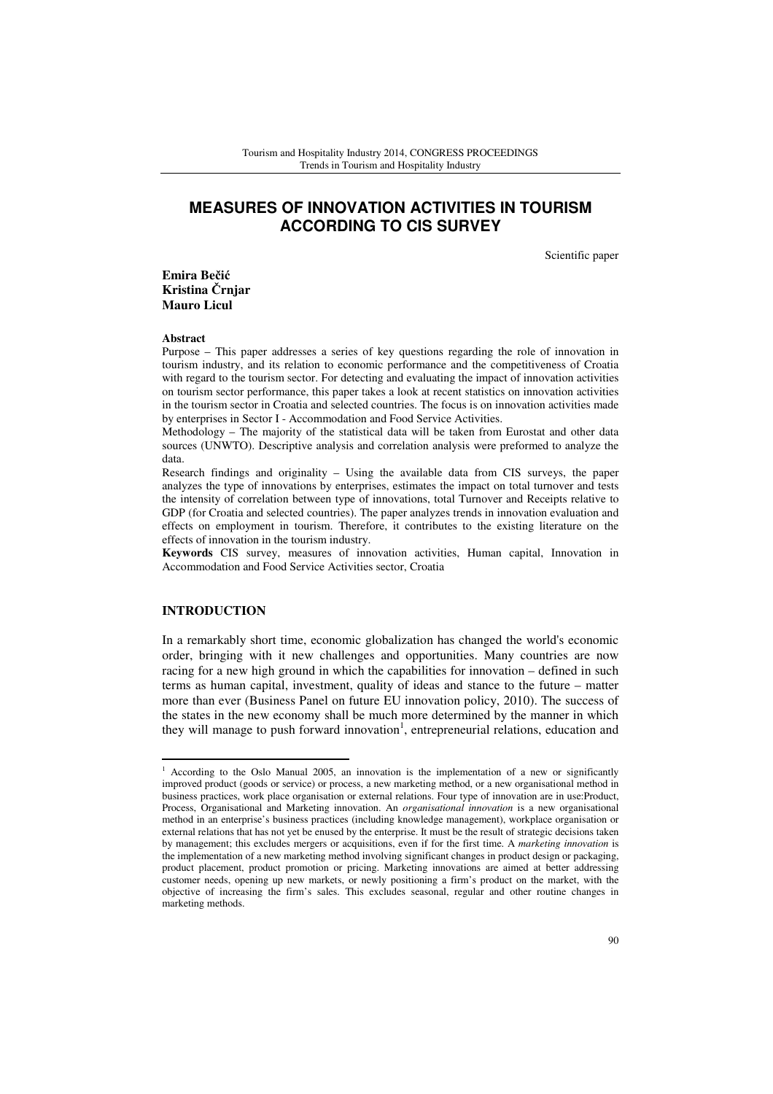# **MEASURES OF INNOVATION ACTIVITIES IN TOURISM ACCORDING TO CIS SURVEY**

Scientific paper

**Emira Be**č**i**ć **Kristina** Č**rnjar Mauro Licul** 

#### **Abstract**

Purpose – This paper addresses a series of key questions regarding the role of innovation in tourism industry, and its relation to economic performance and the competitiveness of Croatia with regard to the tourism sector. For detecting and evaluating the impact of innovation activities on tourism sector performance, this paper takes a look at recent statistics on innovation activities in the tourism sector in Croatia and selected countries. The focus is on innovation activities made by enterprises in Sector I - Accommodation and Food Service Activities.

Methodology – The majority of the statistical data will be taken from Eurostat and other data sources (UNWTO). Descriptive analysis and correlation analysis were preformed to analyze the data.

Research findings and originality – Using the available data from CIS surveys, the paper analyzes the type of innovations by enterprises, estimates the impact on total turnover and tests the intensity of correlation between type of innovations, total Turnover and Receipts relative to GDP (for Croatia and selected countries). The paper analyzes trends in innovation evaluation and effects on employment in tourism. Therefore, it contributes to the existing literature on the effects of innovation in the tourism industry.

**Keywords** CIS survey, measures of innovation activities, Human capital, Innovation in Accommodation and Food Service Activities sector, Croatia

## **INTRODUCTION**

 $\overline{a}$ 

In a remarkably short time, economic globalization has changed the world's economic order, bringing with it new challenges and opportunities. Many countries are now racing for a new high ground in which the capabilities for innovation – defined in such terms as human capital, investment, quality of ideas and stance to the future – matter more than ever (Business Panel on future EU innovation policy, 2010). The success of the states in the new economy shall be much more determined by the manner in which they will manage to push forward innovation<sup>1</sup>, entrepreneurial relations, education and

<sup>&</sup>lt;sup>1</sup> According to the Oslo Manual 2005, an innovation is the implementation of a new or significantly improved product (goods or service) or process, a new marketing method, or a new organisational method in business practices, work place organisation or external relations. Four type of innovation are in use:Product, Process, Organisational and Marketing innovation. An *organisational innovation* is a new organisational method in an enterprise's business practices (including knowledge management), workplace organisation or external relations that has not yet be enused by the enterprise. It must be the result of strategic decisions taken by management; this excludes mergers or acquisitions, even if for the first time. A *marketing innovation* is the implementation of a new marketing method involving significant changes in product design or packaging, product placement, product promotion or pricing. Marketing innovations are aimed at better addressing customer needs, opening up new markets, or newly positioning a firm's product on the market, with the objective of increasing the firm's sales. This excludes seasonal, regular and other routine changes in marketing methods.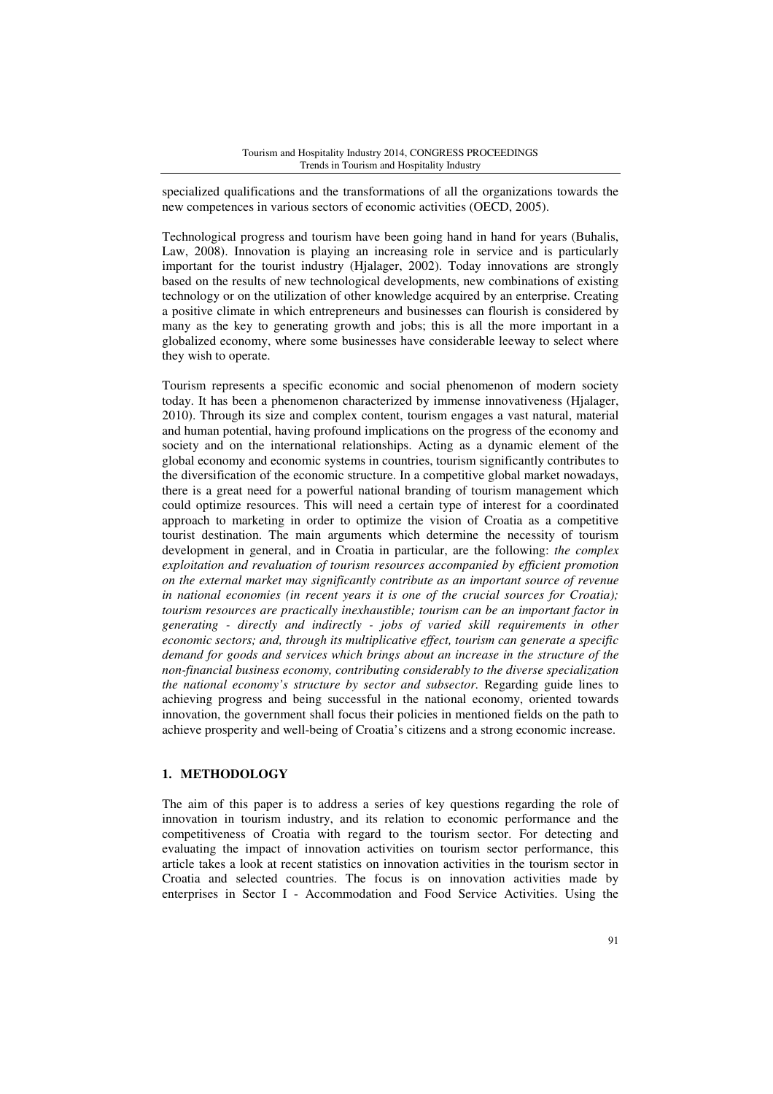specialized qualifications and the transformations of all the organizations towards the new competences in various sectors of economic activities (OECD, 2005).

Technological progress and tourism have been going hand in hand for years (Buhalis, Law, 2008). Innovation is playing an increasing role in service and is particularly important for the tourist industry (Hjalager, 2002). Today innovations are strongly based on the results of new technological developments, new combinations of existing technology or on the utilization of other knowledge acquired by an enterprise. Creating a positive climate in which entrepreneurs and businesses can flourish is considered by many as the key to generating growth and jobs; this is all the more important in a globalized economy, where some businesses have considerable leeway to select where they wish to operate.

Tourism represents a specific economic and social phenomenon of modern society today. It has been a phenomenon characterized by immense innovativeness (Hjalager, 2010). Through its size and complex content, tourism engages a vast natural, material and human potential, having profound implications on the progress of the economy and society and on the international relationships. Acting as a dynamic element of the global economy and economic systems in countries, tourism significantly contributes to the diversification of the economic structure. In a competitive global market nowadays, there is a great need for a powerful national branding of tourism management which could optimize resources. This will need a certain type of interest for a coordinated approach to marketing in order to optimize the vision of Croatia as a competitive tourist destination. The main arguments which determine the necessity of tourism development in general, and in Croatia in particular, are the following: *the complex exploitation and revaluation of tourism resources accompanied by efficient promotion on the external market may significantly contribute as an important source of revenue in national economies (in recent years it is one of the crucial sources for Croatia); tourism resources are practically inexhaustible; tourism can be an important factor in generating - directly and indirectly - jobs of varied skill requirements in other economic sectors; and, through its multiplicative effect, tourism can generate a specific demand for goods and services which brings about an increase in the structure of the non-financial business economy, contributing considerably to the diverse specialization the national economy's structure by sector and subsector.* Regarding guide lines to achieving progress and being successful in the national economy, oriented towards innovation, the government shall focus their policies in mentioned fields on the path to achieve prosperity and well-being of Croatia's citizens and a strong economic increase.

## **1. METHODOLOGY**

The aim of this paper is to address a series of key questions regarding the role of innovation in tourism industry, and its relation to economic performance and the competitiveness of Croatia with regard to the tourism sector. For detecting and evaluating the impact of innovation activities on tourism sector performance, this article takes a look at recent statistics on innovation activities in the tourism sector in Croatia and selected countries. The focus is on innovation activities made by enterprises in Sector I - Accommodation and Food Service Activities. Using the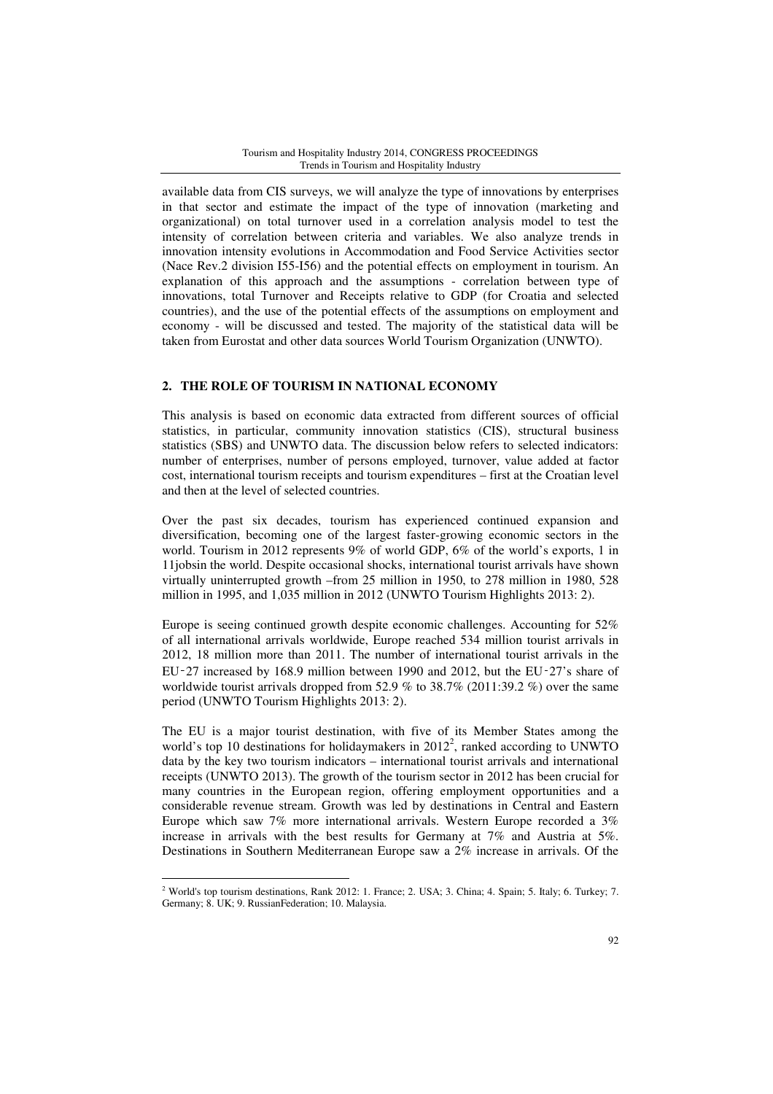available data from CIS surveys, we will analyze the type of innovations by enterprises in that sector and estimate the impact of the type of innovation (marketing and organizational) on total turnover used in a correlation analysis model to test the intensity of correlation between criteria and variables. We also analyze trends in innovation intensity evolutions in Accommodation and Food Service Activities sector (Nace Rev.2 division I55-I56) and the potential effects on employment in tourism. An explanation of this approach and the assumptions - correlation between type of innovations, total Turnover and Receipts relative to GDP (for Croatia and selected countries), and the use of the potential effects of the assumptions on employment and economy - will be discussed and tested. The majority of the statistical data will be taken from Eurostat and other data sources World Tourism Organization (UNWTO).

## **2. THE ROLE OF TOURISM IN NATIONAL ECONOMY**

This analysis is based on economic data extracted from different sources of official statistics, in particular, community innovation statistics (CIS), structural business statistics (SBS) and UNWTO data. The discussion below refers to selected indicators: number of enterprises, number of persons employed, turnover, value added at factor cost, international tourism receipts and tourism expenditures – first at the Croatian level and then at the level of selected countries.

Over the past six decades, tourism has experienced continued expansion and diversification, becoming one of the largest faster-growing economic sectors in the world. Tourism in 2012 represents 9% of world GDP, 6% of the world's exports, 1 in 11jobsin the world. Despite occasional shocks, international tourist arrivals have shown virtually uninterrupted growth –from 25 million in 1950, to 278 million in 1980, 528 million in 1995, and 1,035 million in 2012 (UNWTO Tourism Highlights 2013: 2).

Europe is seeing continued growth despite economic challenges. Accounting for 52% of all international arrivals worldwide, Europe reached 534 million tourist arrivals in 2012, 18 million more than 2011. The number of international tourist arrivals in the EU‑27 increased by 168.9 million between 1990 and 2012, but the EU‑27's share of worldwide tourist arrivals dropped from 52.9 % to 38.7% (2011:39.2 %) over the same period (UNWTO Tourism Highlights 2013: 2).

The EU is a major tourist destination, with five of its Member States among the world's top 10 destinations for holidaymakers in  $2012^2$ , ranked according to UNWTO data by the key two tourism indicators – international tourist arrivals and international receipts (UNWTO 2013). The growth of the tourism sector in 2012 has been crucial for many countries in the European region, offering employment opportunities and a considerable revenue stream. Growth was led by destinations in Central and Eastern Europe which saw 7% more international arrivals. Western Europe recorded a 3% increase in arrivals with the best results for Germany at 7% and Austria at 5%. Destinations in Southern Mediterranean Europe saw a 2% increase in arrivals. Of the

l

<sup>&</sup>lt;sup>2</sup> World's top tourism destinations, Rank 2012: 1. France; 2. USA; 3. China; 4. Spain; 5. Italy; 6. Turkey; 7. Germany; 8. UK; 9. RussianFederation; 10. Malaysia.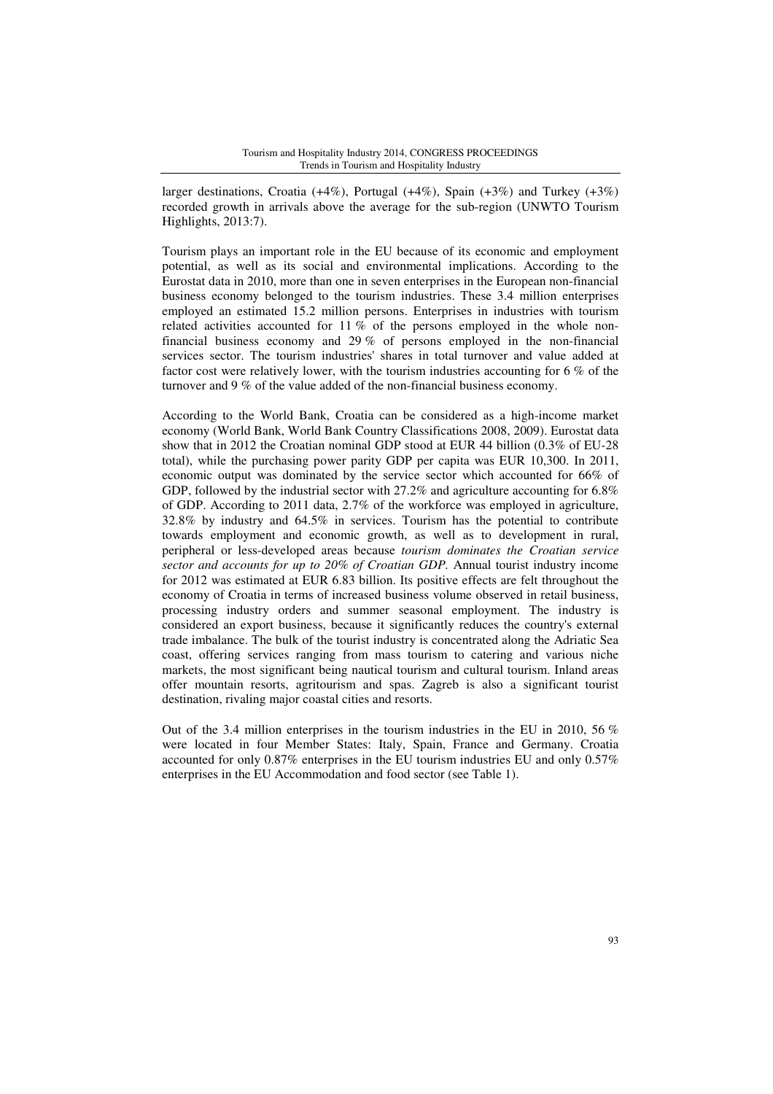larger destinations, Croatia (+4%), Portugal (+4%), Spain (+3%) and Turkey (+3%) recorded growth in arrivals above the average for the sub-region (UNWTO Tourism Highlights, 2013:7).

Tourism plays an important role in the EU because of its economic and employment potential, as well as its social and environmental implications. According to the Eurostat data in 2010, more than one in seven enterprises in the European non-financial business economy belonged to the tourism industries. These 3.4 million enterprises employed an estimated 15.2 million persons. Enterprises in industries with tourism related activities accounted for 11 % of the persons employed in the whole nonfinancial business economy and 29 % of persons employed in the non-financial services sector. The tourism industries' shares in total turnover and value added at factor cost were relatively lower, with the tourism industries accounting for 6 % of the turnover and 9 % of the value added of the non-financial business economy.

According to the World Bank, Croatia can be considered as a high-income market economy (World Bank, World Bank Country Classifications 2008, 2009). Eurostat data show that in 2012 the Croatian nominal GDP stood at EUR 44 billion (0.3% of EU-28 total), while the purchasing power parity GDP per capita was EUR 10,300. In 2011, economic output was dominated by the service sector which accounted for 66% of GDP, followed by the industrial sector with 27.2% and agriculture accounting for 6.8% of GDP. According to 2011 data, 2.7% of the workforce was employed in agriculture, 32.8% by industry and 64.5% in services. Tourism has the potential to contribute towards employment and economic growth, as well as to development in rural, peripheral or less-developed areas because *tourism dominates the Croatian service sector and accounts for up to 20% of Croatian GDP.* Annual tourist industry income for 2012 was estimated at EUR 6.83 billion. Its positive effects are felt throughout the economy of Croatia in terms of increased business volume observed in retail business, processing industry orders and summer seasonal employment. The industry is considered an export business, because it significantly reduces the country's external trade imbalance. The bulk of the tourist industry is concentrated along the Adriatic Sea coast, offering services ranging from mass tourism to catering and various niche markets, the most significant being nautical tourism and cultural tourism. Inland areas offer mountain resorts, agritourism and spas. Zagreb is also a significant tourist destination, rivaling major coastal cities and resorts.

Out of the 3.4 million enterprises in the tourism industries in the EU in 2010, 56  $\%$ were located in four Member States: Italy, Spain, France and Germany. Croatia accounted for only 0.87% enterprises in the EU tourism industries EU and only 0.57% enterprises in the EU Accommodation and food sector (see Table 1).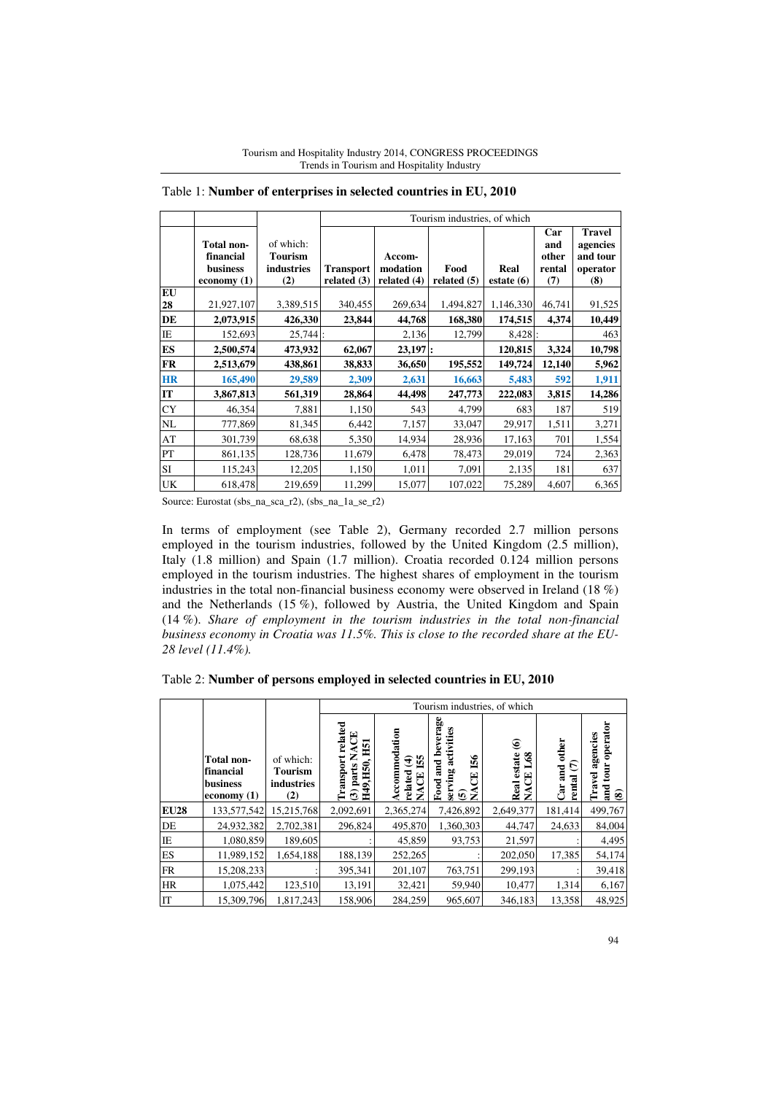|           |                                                             |                                                  |                                 |                                   | Tourism industries, of which |                      |                                      |                                                          |
|-----------|-------------------------------------------------------------|--------------------------------------------------|---------------------------------|-----------------------------------|------------------------------|----------------------|--------------------------------------|----------------------------------------------------------|
|           | Total non-<br>financial<br><b>business</b><br>economy $(1)$ | of which:<br><b>Tourism</b><br>industries<br>(2) | <b>Transport</b><br>related (3) | Accom-<br>modation<br>related (4) | Food<br>related $(5)$        | Real<br>estate $(6)$ | Car<br>and<br>other<br>rental<br>(7) | <b>Travel</b><br>agencies<br>and tour<br>operator<br>(8) |
| EU<br>28  | 21,927,107                                                  | 3,389,515                                        | 340,455                         | 269,634                           | 1,494,827                    | 1,146,330            | 46,741                               | 91,525                                                   |
| DE        | 2,073,915                                                   | 426,330                                          | 23,844                          | 44,768                            | 168,380                      | 174,515              | 4,374                                | 10,449                                                   |
| ΙE        | 152,693                                                     | $25,744$ :                                       |                                 | 2,136                             | 12,799                       | 8,428:               |                                      | 463                                                      |
| ES        | 2,500,574                                                   | 473,932                                          | 62,067                          | $23,197$ :                        |                              | 120,815              | 3,324                                | 10,798                                                   |
| <b>FR</b> | 2,513,679                                                   | 438,861                                          | 38,833                          | 36,650                            | 195,552                      | 149,724              | 12,140                               | 5,962                                                    |
| <b>HR</b> | 165,490                                                     | 29,589                                           | 2,309                           | 2,631                             | 16,663                       | 5,483                | 592                                  | 1,911                                                    |
| IT        | 3,867,813                                                   | 561,319                                          | 28,864                          | 44,498                            | 247,773                      | 222,083              | 3,815                                | 14,286                                                   |
| <b>CY</b> | 46,354                                                      | 7,881                                            | 1,150                           | 543                               | 4,799                        | 683                  | 187                                  | 519                                                      |
| $\rm NL$  | 777,869                                                     | 81,345                                           | 6,442                           | 7,157                             | 33,047                       | 29,917               | 1,511                                | 3,271                                                    |
| AT        | 301,739                                                     | 68,638                                           | 5,350                           | 14,934                            | 28,936                       | 17,163               | 701                                  | 1,554                                                    |
| PT        | 861,135                                                     | 128,736                                          | 11,679                          | 6,478                             | 78,473                       | 29,019               | 724                                  | 2,363                                                    |
| SI        | 115,243                                                     | 12,205                                           | 1,150                           | 1,011                             | 7,091                        | 2,135                | 181                                  | 637                                                      |
| UK        | 618,478                                                     | 219,659                                          | 11,299                          | 15,077                            | 107,022                      | 75,289               | 4,607                                | 6,365                                                    |

Tourism and Hospitality Industry 2014, CONGRESS PROCEEDINGS Trends in Tourism and Hospitality Industry

Table 1: **Number of enterprises in selected countries in EU, 2010** 

Source: Eurostat (sbs\_na\_sca\_r2), (sbs\_na\_1a\_se\_r2)

In terms of employment (see Table 2), Germany recorded 2.7 million persons employed in the tourism industries, followed by the United Kingdom (2.5 million), Italy (1.8 million) and Spain (1.7 million). Croatia recorded 0.124 million persons employed in the tourism industries. The highest shares of employment in the tourism industries in the total non-financial business economy were observed in Ireland (18 %) and the Netherlands (15 %), followed by Austria, the United Kingdom and Spain (14 %). *Share of employment in the tourism industries in the total non-financial business economy in Croatia was 11.5%. This is close to the recorded share at the EU-28 level (11.4%).* 

| Table 2: Number of persons employed in selected countries in EU, 2010 |  |  |
|-----------------------------------------------------------------------|--|--|
|-----------------------------------------------------------------------|--|--|

|             |                                                             |                                           |                                                                                                                       |                                     | Tourism industries, of which                                     |                                                                                     |                                 |                                                  |
|-------------|-------------------------------------------------------------|-------------------------------------------|-----------------------------------------------------------------------------------------------------------------------|-------------------------------------|------------------------------------------------------------------|-------------------------------------------------------------------------------------|---------------------------------|--------------------------------------------------|
|             | Total non-<br>financial<br><b>business</b><br>economy $(1)$ | of which:<br>Tourism<br>industries<br>(2) | related<br>5<br>H <sub>51</sub><br>ž<br><b>Transport</b><br>H <sub>50</sub><br>parts<br>H49<br>$\widehat{\mathbf{c}}$ | Accommodation<br>ΞŖ<br>related<br>E | beverage<br>activities<br><b>I56</b><br>and<br>ving<br>囯<br>Food | $\widehat{\mathbf{e}}$<br>L68<br>estate<br>F<br><b>Real</b><br>$\tilde{\mathbf{z}}$ | and other<br>E<br>rental<br>Car | operator<br>agencies<br>Travel<br>$\frac{3}{16}$ |
| <b>EU28</b> | 133,577,542                                                 | 15,215,768                                | 2,092,691                                                                                                             | 2,365,274                           | 7,426,892                                                        | 2,649,377                                                                           | 181,414                         | 499,767                                          |
| DE          | 24,932,382                                                  | 2,702,381                                 | 296,824                                                                                                               | 495,870                             | 1,360,303                                                        | 44,747                                                                              | 24.633                          | 84,004                                           |
| IE          | 1,080,859                                                   | 189,605                                   |                                                                                                                       | 45,859                              | 93,753                                                           | 21,597                                                                              |                                 | 4,495                                            |
| ES          | 11,989,152                                                  | 1,654,188                                 | 188,139                                                                                                               | 252,265                             |                                                                  | 202,050                                                                             | 17,385                          | 54,174                                           |
| <b>FR</b>   | 15,208,233                                                  |                                           | 395,341                                                                                                               | 201,107                             | 763,751                                                          | 299,193                                                                             |                                 | 39,418                                           |
| <b>HR</b>   | 1,075,442                                                   | 123,510                                   | 13,191                                                                                                                | 32,421                              | 59,940                                                           | 10,477                                                                              | 1,314                           | 6,167                                            |
| IT          | 15,309,796                                                  | 1,817,243                                 | 158,906                                                                                                               | 284,259                             | 965,607                                                          | 346,183                                                                             | 13,358                          | 48,925                                           |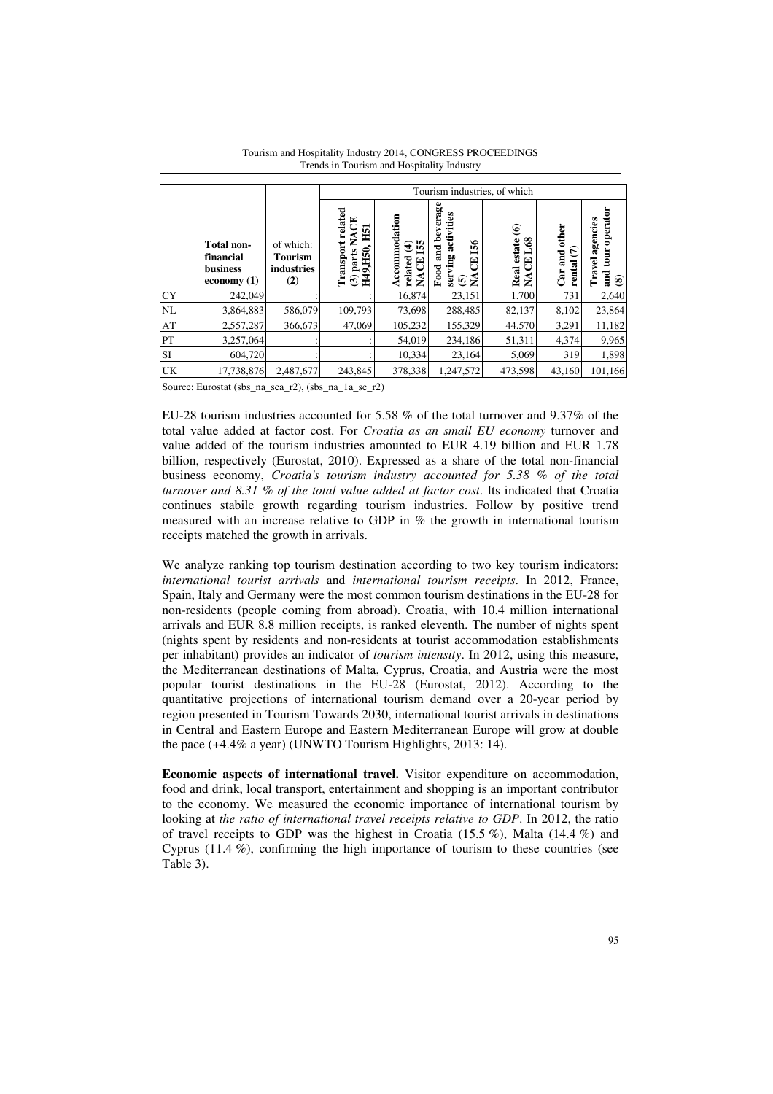|    |                                                             |                                                  |                                                                           |                                              | Tourism industries, of which                                                 |                                                                   |                                       |                                                                       |
|----|-------------------------------------------------------------|--------------------------------------------------|---------------------------------------------------------------------------|----------------------------------------------|------------------------------------------------------------------------------|-------------------------------------------------------------------|---------------------------------------|-----------------------------------------------------------------------|
|    | Total non-<br>financial<br><b>business</b><br>economy $(1)$ | of which:<br><b>Tourism</b><br>industries<br>(2) | Transport related<br>ğ<br>Н51<br>parts NA<br>$(3)$ parts $N$<br>H49, H50, | ccommodation<br>⊕ິ⊠<br>$_{\rm related}$<br>딸 | beverage<br>activities<br><b>I56</b><br>and<br>ving<br>5<br>Food<br>ទី ១ ខ្ន | ଛ<br><b>SS</b><br>estate<br>$\Xi$<br>Real<br>$\tilde{\mathbf{z}}$ | Car and other<br>$\epsilon$<br>rental | operator<br>agencies<br>tour<br><b>Travel</b><br>and<br>$\circledast$ |
| CY | 242,049                                                     |                                                  |                                                                           | 16,874                                       | 23,151                                                                       | 1,700                                                             | 731                                   | 2,640                                                                 |
| NL | 3,864,883                                                   | 586,079                                          | 109,793                                                                   | 73,698                                       | 288,485                                                                      | 82,137                                                            | 8,102                                 | 23,864                                                                |
| AT | 2,557,287                                                   | 366,673                                          | 47.069                                                                    | 105,232                                      | 155,329                                                                      | 44,570                                                            | 3,291                                 | 11,182                                                                |
| PT | 3,257,064                                                   |                                                  |                                                                           | 54,019                                       | 234,186                                                                      | 51,311                                                            | 4,374                                 | 9,965                                                                 |
| SI | 604,720                                                     |                                                  |                                                                           | 10,334                                       | 23,164                                                                       | 5,069                                                             | 319                                   | 1,898                                                                 |
| UK | 17,738,876                                                  | 2,487,677                                        | 243,845                                                                   | 378,338                                      | 1,247,572                                                                    | 473,598                                                           | 43,160                                | 101,166                                                               |

Tourism and Hospitality Industry 2014, CONGRESS PROCEEDINGS Trends in Tourism and Hospitality Industry

Source: Eurostat (sbs\_na\_sca\_r2), (sbs\_na\_1a\_se\_r2)

EU-28 tourism industries accounted for 5.58 % of the total turnover and 9.37% of the total value added at factor cost. For *Croatia as an small EU economy* turnover and value added of the tourism industries amounted to EUR 4.19 billion and EUR 1.78 billion, respectively (Eurostat, 2010). Expressed as a share of the total non-financial business economy, *Croatia's tourism industry accounted for 5.38 % of the total turnover and 8.31 % of the total value added at factor cost*. Its indicated that Croatia continues stabile growth regarding tourism industries. Follow by positive trend measured with an increase relative to GDP in % the growth in international tourism receipts matched the growth in arrivals.

We analyze ranking top tourism destination according to two key tourism indicators: *international tourist arrivals* and *international tourism receipts*. In 2012, France, Spain, Italy and Germany were the most common tourism destinations in the EU-28 for non-residents (people coming from abroad). Croatia, with 10.4 million international arrivals and EUR 8.8 million receipts, is ranked eleventh. The number of nights spent (nights spent by residents and non-residents at tourist accommodation establishments per inhabitant) provides an indicator of *tourism intensity*. In 2012, using this measure, the Mediterranean destinations of Malta, Cyprus, Croatia, and Austria were the most popular tourist destinations in the EU-28 (Eurostat, 2012). According to the quantitative projections of international tourism demand over a 20-year period by region presented in Tourism Towards 2030, international tourist arrivals in destinations in Central and Eastern Europe and Eastern Mediterranean Europe will grow at double the pace (+4.4% a year) (UNWTO Tourism Highlights, 2013: 14).

**Economic aspects of international travel.** Visitor expenditure on accommodation, food and drink, local transport, entertainment and shopping is an important contributor to the economy. We measured the economic importance of international tourism by looking at *the ratio of international travel receipts relative to GDP*. In 2012, the ratio of travel receipts to GDP was the highest in Croatia  $(15.5\%)$ , Malta  $(14.4\%)$  and Cyprus (11.4 %), confirming the high importance of tourism to these countries (see Table 3).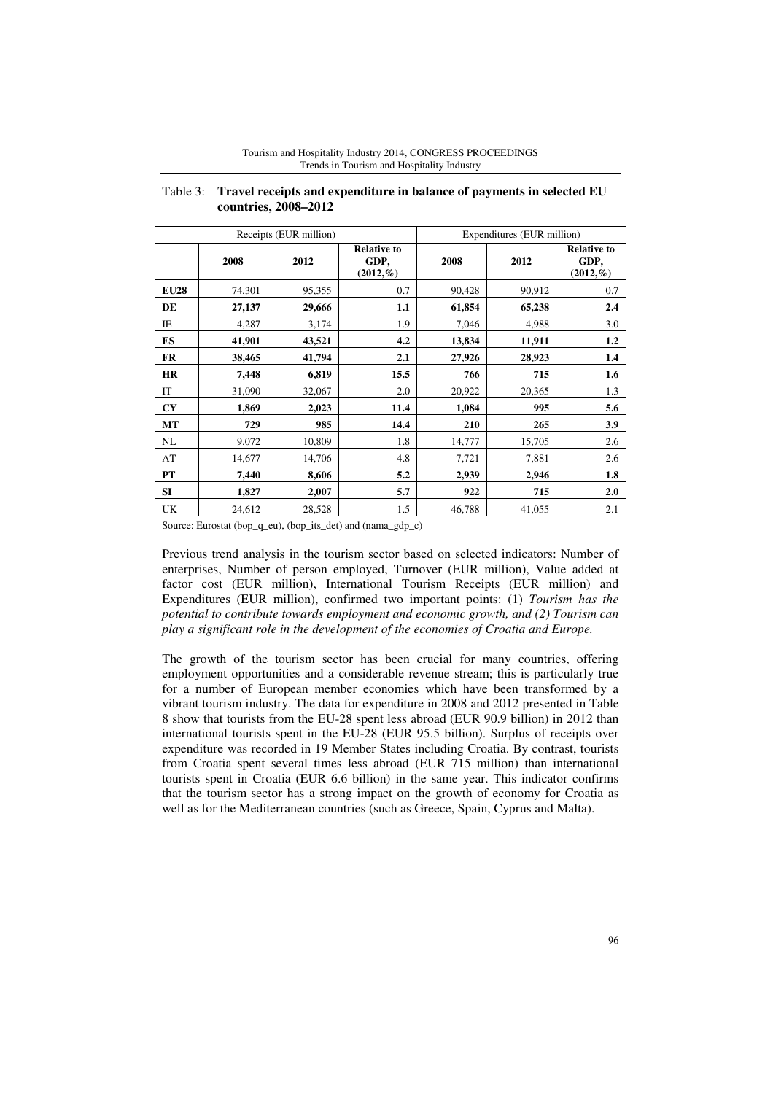|             |        | Receipts (EUR million) |                                           |        | Expenditures (EUR million) |                                            |
|-------------|--------|------------------------|-------------------------------------------|--------|----------------------------|--------------------------------------------|
|             | 2008   | 2012                   | <b>Relative to</b><br>GDP,<br>$(2012,\%)$ | 2008   | 2012                       | <b>Relative to</b><br>GDP,<br>$(2012, \%)$ |
| <b>EU28</b> | 74,301 | 95,355                 | 0.7                                       | 90,428 | 90,912                     | 0.7                                        |
| DE          | 27,137 | 29,666                 | 1.1                                       | 61,854 | 65,238                     | 2.4                                        |
| ΙE          | 4,287  | 3,174                  | 1.9                                       | 7,046  | 4,988                      | 3.0                                        |
| ES          | 41,901 | 43,521                 | 4.2                                       | 13,834 | 11,911                     | 1.2                                        |
| FR          | 38,465 | 41,794                 | 2.1                                       | 27,926 | 28,923                     | 1.4                                        |
| <b>HR</b>   | 7,448  | 6,819                  | 15.5                                      | 766    | 715                        | 1.6                                        |
| IT          | 31,090 | 32,067                 | 2.0                                       | 20,922 | 20,365                     | 1.3                                        |
| CY          | 1,869  | 2,023                  | 11.4                                      | 1,084  | 995                        | 5.6                                        |
| MT          | 729    | 985                    | 14.4                                      | 210    | 265                        | 3.9                                        |
| NL          | 9,072  | 10,809                 | 1.8                                       | 14,777 | 15,705                     | 2.6                                        |
| AT          | 14,677 | 14,706                 | 4.8                                       | 7,721  | 7,881                      | 2.6                                        |
| PT          | 7,440  | 8,606                  | 5.2                                       | 2,939  | 2,946                      | 1.8                                        |
| SI          | 1,827  | 2,007                  | 5.7                                       | 922    | 715                        | 2.0                                        |
| UK          | 24,612 | 28,528                 | 1.5                                       | 46,788 | 41,055                     | 2.1                                        |

Table 3: **Travel receipts and expenditure in balance of payments in selected EU countries, 2008–2012** 

Source: Eurostat (bop\_q\_eu), (bop\_its\_det) and (nama\_gdp\_c)

Previous trend analysis in the tourism sector based on selected indicators: Number of enterprises, Number of person employed, Turnover (EUR million), Value added at factor cost (EUR million), International Tourism Receipts (EUR million) and Expenditures (EUR million), confirmed two important points: (1) *Tourism has the potential to contribute towards employment and economic growth, and (2) Tourism can play a significant role in the development of the economies of Croatia and Europe.* 

The growth of the tourism sector has been crucial for many countries, offering employment opportunities and a considerable revenue stream; this is particularly true for a number of European member economies which have been transformed by a vibrant tourism industry. The data for expenditure in 2008 and 2012 presented in Table 8 show that tourists from the EU-28 spent less abroad (EUR 90.9 billion) in 2012 than international tourists spent in the EU-28 (EUR 95.5 billion). Surplus of receipts over expenditure was recorded in 19 Member States including Croatia. By contrast, tourists from Croatia spent several times less abroad (EUR 715 million) than international tourists spent in Croatia (EUR 6.6 billion) in the same year. This indicator confirms that the tourism sector has a strong impact on the growth of economy for Croatia as well as for the Mediterranean countries (such as Greece, Spain, Cyprus and Malta).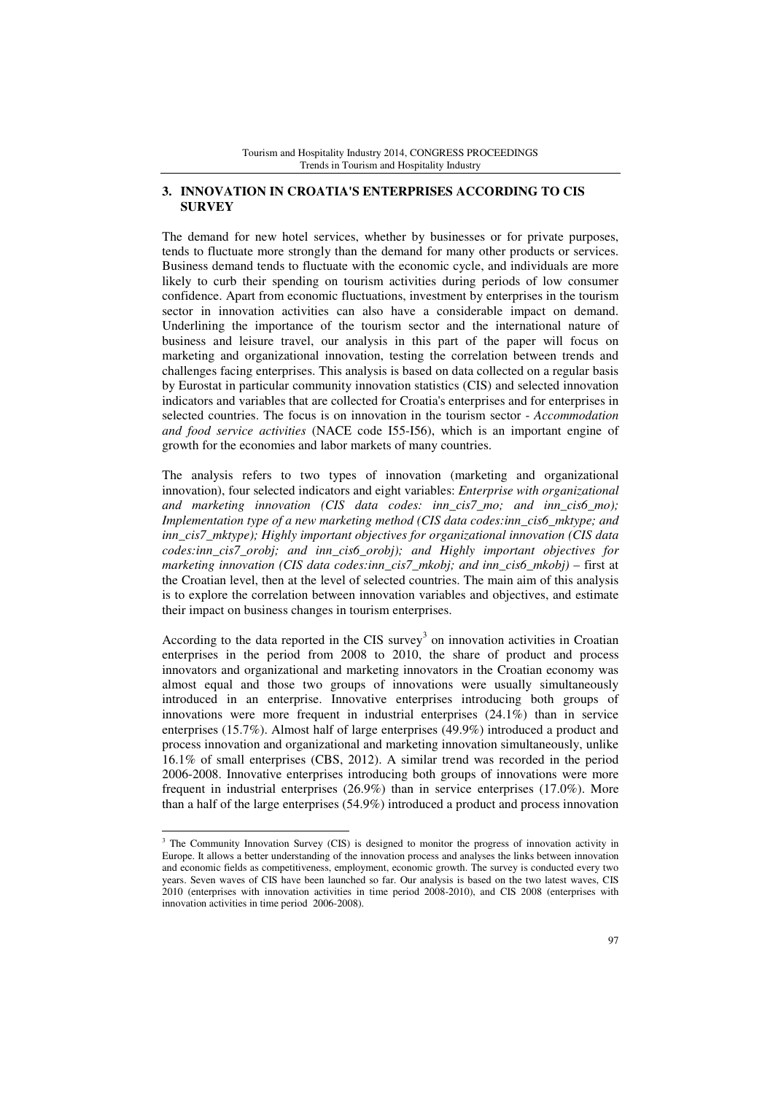## **3. INNOVATION IN CROATIA'S ENTERPRISES ACCORDING TO CIS SURVEY**

The demand for new hotel services, whether by businesses or for private purposes, tends to fluctuate more strongly than the demand for many other products or services. Business demand tends to fluctuate with the economic cycle, and individuals are more likely to curb their spending on tourism activities during periods of low consumer confidence. Apart from economic fluctuations, investment by enterprises in the tourism sector in innovation activities can also have a considerable impact on demand. Underlining the importance of the tourism sector and the international nature of business and leisure travel, our analysis in this part of the paper will focus on marketing and organizational innovation, testing the correlation between trends and challenges facing enterprises. This analysis is based on data collected on a regular basis by Eurostat in particular community innovation statistics (CIS) and selected innovation indicators and variables that are collected for Croatia's enterprises and for enterprises in selected countries. The focus is on innovation in the tourism sector - *Accommodation and food service activities* (NACE code I55-I56), which is an important engine of growth for the economies and labor markets of many countries.

The analysis refers to two types of innovation (marketing and organizational innovation), four selected indicators and eight variables: *Enterprise with organizational and marketing innovation (CIS data codes: inn\_cis7\_mo; and inn\_cis6\_mo); Implementation type of a new marketing method (CIS data codes:inn\_cis6\_mktype; and inn\_cis7\_mktype); Highly important objectives for organizational innovation (CIS data codes:inn\_cis7\_orobj; and inn\_cis6\_orobj); and Highly important objectives for marketing innovation (CIS data codes:inn\_cis7\_mkobj; and inn\_cis6\_mkobj)* – first at the Croatian level, then at the level of selected countries. The main aim of this analysis is to explore the correlation between innovation variables and objectives, and estimate their impact on business changes in tourism enterprises.

According to the data reported in the CIS survey<sup>3</sup> on innovation activities in Croatian enterprises in the period from 2008 to 2010, the share of product and process innovators and organizational and marketing innovators in the Croatian economy was almost equal and those two groups of innovations were usually simultaneously introduced in an enterprise. Innovative enterprises introducing both groups of innovations were more frequent in industrial enterprises (24.1%) than in service enterprises (15.7%). Almost half of large enterprises (49.9%) introduced a product and process innovation and organizational and marketing innovation simultaneously, unlike 16.1% of small enterprises (CBS, 2012). A similar trend was recorded in the period 2006-2008. Innovative enterprises introducing both groups of innovations were more frequent in industrial enterprises (26.9%) than in service enterprises (17.0%). More than a half of the large enterprises (54.9%) introduced a product and process innovation

l

<sup>&</sup>lt;sup>3</sup> The Community Innovation Survey (CIS) is designed to monitor the progress of innovation activity in Europe. It allows a better understanding of the innovation process and analyses the links between innovation and economic fields as competitiveness, employment, economic growth. The survey is conducted every two years. Seven waves of CIS have been launched so far. Our analysis is based on the two latest waves, CIS 2010 (enterprises with innovation activities in time period 2008-2010), and CIS 2008 (enterprises with innovation activities in time period 2006-2008).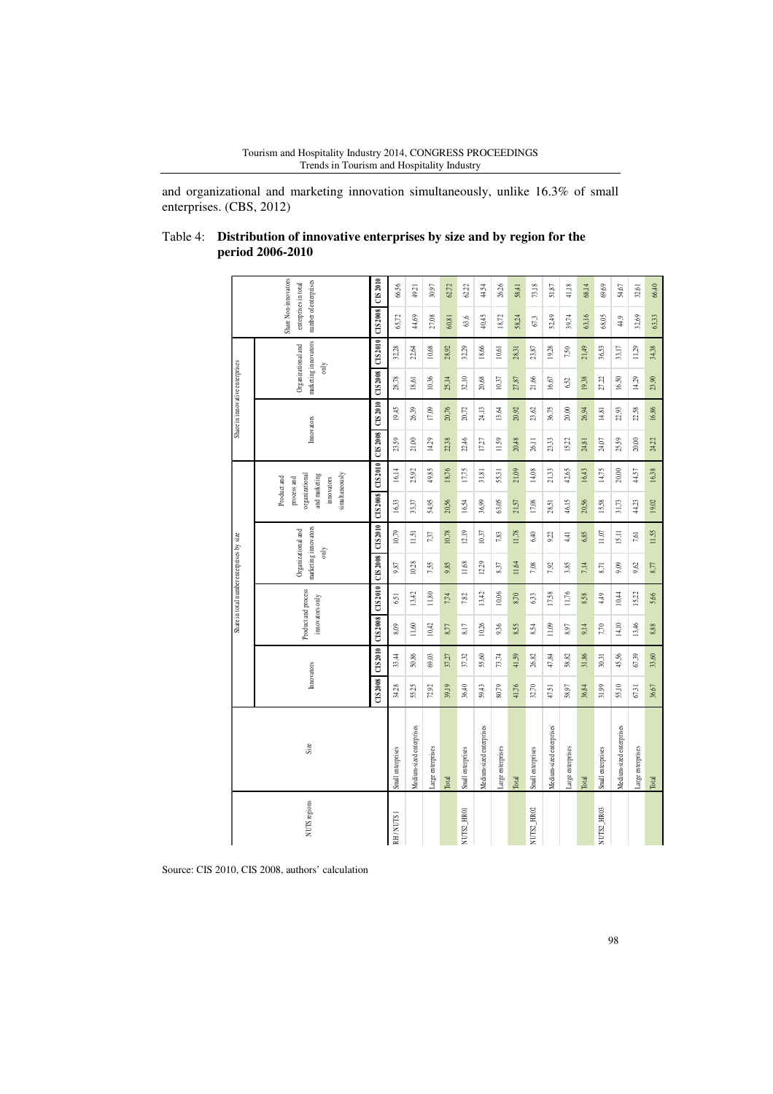and organizational and marketing innovation simultaneously, unlike 16.3% of small enterprises. (CBS, 2012)

|              |                          |         |            |          | Share in total number enterprises by size |         |                                                    |                           |                                                                  |            |         | Share in innovative enterprises                    |          |                                                                       |         |
|--------------|--------------------------|---------|------------|----------|-------------------------------------------|---------|----------------------------------------------------|---------------------------|------------------------------------------------------------------|------------|---------|----------------------------------------------------|----------|-----------------------------------------------------------------------|---------|
| NUTS regions | Size                     |         | Innovators |          | Product and process<br>innovators only    |         | marketing innovators<br>Organizational and<br>only | Product and<br>innovators | simultaneously<br>organizational<br>and marketing<br>process and | Innovators |         | marketing innovators<br>Organizational and<br>only |          | Share Non-innovators<br>number of enterprises<br>enterprises in total |         |
|              |                          | CIS2008 | CIS2010    | CIS 2008 | CIS2010                                   | CIS2008 | CIS2010                                            | CIS 2008                  | CIS2010                                                          | CIS2008    | CIS2010 | CIS 2008                                           | CIS 2010 | CIS 2008                                                              | CIS2010 |
| RH/NUTS      | Small enterprises        | 34,28   | 33,44      | 8,09     | 6.51                                      | 9,87    | 10,79                                              | 16,33                     | 16,14                                                            | 23,59      | 19,45   | 28,78                                              | 32,28    | 65,72                                                                 | 66,56   |
|              | Medium-sized enterprises | 55,25   | 50,86      | 11,60    | 13,42                                     | 10,28   | 11,51                                              | 3337                      | 25,92                                                            | $21{,}00$  | 26,39   | 18,61                                              | 22,64    | 44,69                                                                 | 49,21   |
|              | Large enterprises        | 72,92   | 69,03      | 10,42    | 11,80                                     | 7,55    | 737                                                | 54,95                     | 49,85                                                            | 14,29      | 17,09   | 10,36                                              | 10,68    | 27,08                                                                 | 30,97   |
|              | Total                    | 39,19   | 37,27      | 8,77     | 7,74                                      | 9,85    | 10,78                                              | 20,56                     | 18,76                                                            | 22,38      | 20,76   | 25,14                                              | 28,92    | 60,81                                                                 | 62,72   |
| NUTS2_HR01   | Small enterprises        | 36,40   | 37,32      | 8,17     | 7,82                                      | 11,68   | 12,19                                              | 16,54                     | 17,75                                                            | 22,46      | 20,72   | 32,10                                              | 32.29    | 63,6                                                                  | 62,22   |
|              | Medium-sized enterprises | 59,43   | 55,60      | 10,26    | 13,42                                     | 12.29   | 10,37                                              | 36,99                     | 31,81                                                            | 17.27      | 24,13   | 20,68                                              | 18,66    | 40,45                                                                 | 44,54   |
|              | Large enterprises        | 80,79   | 73,74      | 9,36     | 10,06                                     | 8,37    | 7,83                                               | 63,05                     | 55,31                                                            | 11,59      | 13,64   | 10,37                                              | 10,61    | 18,72                                                                 | 26,26   |
|              | Total                    | 41,76   | 41,59      | 8,55     | 8,70                                      | 11,64   | 11,78                                              | 2157                      | 21,09                                                            | 20,48      | 20,92   | 27,87                                              | 28,31    | 58,24                                                                 | 58,41   |
| NUTS2_HR02   | Small enterprises        | 32,70   | 26,82      | 8,54     | 6,33                                      | $7.08$  | 6,40                                               | 17,08                     | 14,08                                                            | 26,11      | 23,62   | 21,66                                              | 23,87    | 67,3                                                                  | 73,18   |
|              | Medium-sized enterprises | 47,51   | 47,84      | 11,09    | 17,58                                     | 7,92    | 922                                                | 28,51                     | 21,33                                                            | 23,33      | 36,75   | 16,67                                              | 19,28    | 52,49                                                                 | 51,87   |
|              | Large enterprises        | 58,97   | 58,82      | 8,97     | 11,76                                     | 3,85    | 4,41                                               | 46,15                     | 42,65                                                            | 15,22      | 20,00   | 6,52                                               | 7,50     | 39,74                                                                 | $41,18$ |
|              | Total                    | 36,84   | 31,86      | 9,14     | 8,58                                      | 7,14    | 6,85                                               | 20,56                     | 16,43                                                            | 24,81      | 26,94   | 19,38                                              | 21,49    | 63,16                                                                 | 68,14   |
| NUTS2_HR03   | Small enterprises        | 31,99   | 30,31      | 7,70     | 4,49                                      | 8,71    | 11,07                                              | 15,58                     | 14,75                                                            | 24,07      | 14,81   | 27,22                                              | 36,53    | 68,05                                                                 | 69,69   |
|              | Medium-sized enterprises | 55,10   | 45,56      | 14,10    | 10,44                                     | 9,09    | 15.11                                              | 31,73                     | 20,00                                                            | 25,59      | 22,93   | 16,50                                              | 33,17    | 44,9                                                                  | 54,67   |
|              | Large enterprises        | 67,31   | 67,39      | 1346     | 15,22                                     | 9,62    | 7,61                                               | 4423                      | 44,57                                                            | $20,\!00$  | 22,58   | 1429                                               | 11.29    | 32,69                                                                 | 32,61   |
|              | Total                    | 36,67   | 33,60      | 8,88     | 5,66                                      | 8,77    | 11,55                                              | 19,02                     | 16,38                                                            | 24,22      | 16,86   | 23,90                                              | 34,38    | 63,33                                                                 | 66,40   |

## Table 4: **Distribution of innovative enterprises by size and by region for the period 2006-2010**

Source: CIS 2010, CIS 2008, authors' calculation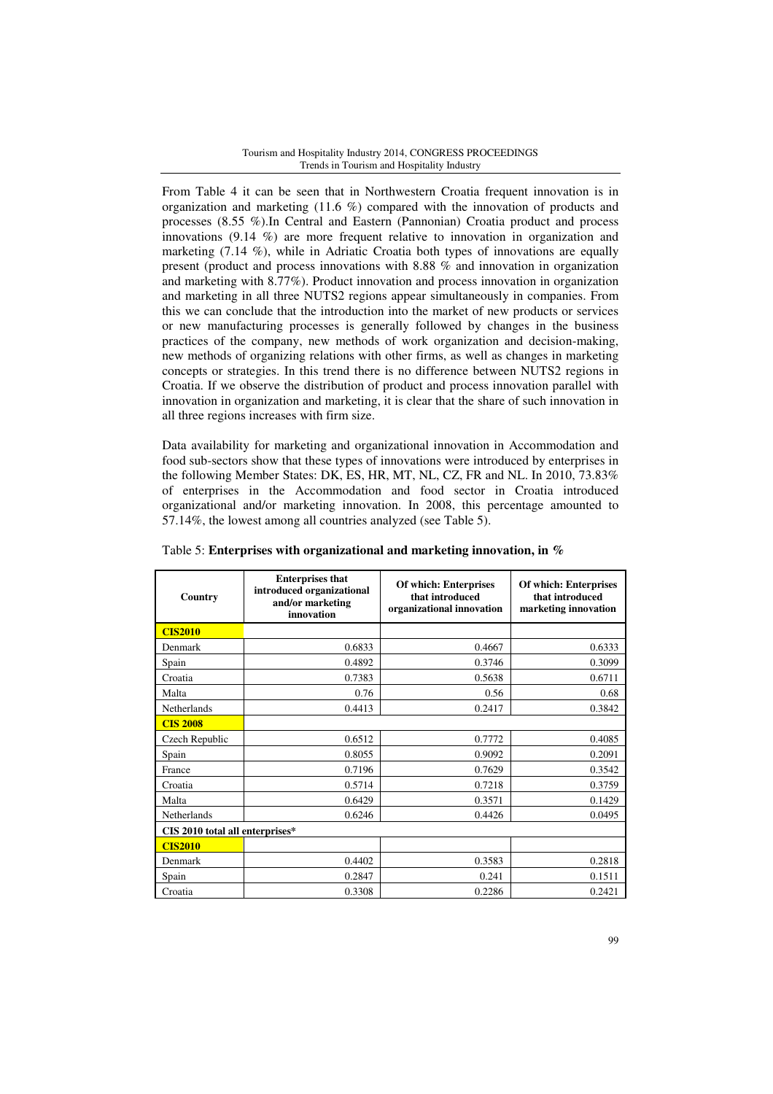From Table 4 it can be seen that in Northwestern Croatia frequent innovation is in organization and marketing (11.6 %) compared with the innovation of products and processes (8.55 %).In Central and Eastern (Pannonian) Croatia product and process innovations (9.14 %) are more frequent relative to innovation in organization and marketing (7.14 %), while in Adriatic Croatia both types of innovations are equally present (product and process innovations with 8.88 % and innovation in organization and marketing with 8.77%). Product innovation and process innovation in organization and marketing in all three NUTS2 regions appear simultaneously in companies. From this we can conclude that the introduction into the market of new products or services or new manufacturing processes is generally followed by changes in the business practices of the company, new methods of work organization and decision-making, new methods of organizing relations with other firms, as well as changes in marketing concepts or strategies. In this trend there is no difference between NUTS2 regions in Croatia. If we observe the distribution of product and process innovation parallel with innovation in organization and marketing, it is clear that the share of such innovation in all three regions increases with firm size.

Data availability for marketing and organizational innovation in Accommodation and food sub-sectors show that these types of innovations were introduced by enterprises in the following Member States: DK, ES, HR, MT, NL, CZ, FR and NL. In 2010, 73.83% of enterprises in the Accommodation and food sector in Croatia introduced organizational and/or marketing innovation. In 2008, this percentage amounted to 57.14%, the lowest among all countries analyzed (see Table 5).

| Country                         | <b>Enterprises that</b><br>introduced organizational<br>and/or marketing<br>innovation | Of which: Enterprises<br>that introduced<br>organizational innovation | Of which: Enterprises<br>that introduced<br>marketing innovation |
|---------------------------------|----------------------------------------------------------------------------------------|-----------------------------------------------------------------------|------------------------------------------------------------------|
| <b>CIS2010</b>                  |                                                                                        |                                                                       |                                                                  |
| Denmark                         | 0.6833                                                                                 | 0.4667                                                                | 0.6333                                                           |
| Spain                           | 0.4892                                                                                 | 0.3746                                                                | 0.3099                                                           |
| Croatia                         | 0.7383                                                                                 | 0.5638                                                                | 0.6711                                                           |
| Malta                           | 0.76                                                                                   | 0.56                                                                  | 0.68                                                             |
| Netherlands                     | 0.4413                                                                                 | 0.2417                                                                | 0.3842                                                           |
| <b>CIS 2008</b>                 |                                                                                        |                                                                       |                                                                  |
| Czech Republic                  | 0.6512                                                                                 | 0.7772                                                                | 0.4085                                                           |
| Spain                           | 0.8055                                                                                 | 0.9092                                                                | 0.2091                                                           |
| France                          | 0.7196                                                                                 | 0.7629                                                                | 0.3542                                                           |
| Croatia                         | 0.5714                                                                                 | 0.7218                                                                | 0.3759                                                           |
| Malta                           | 0.6429                                                                                 | 0.3571                                                                | 0.1429                                                           |
| Netherlands                     | 0.6246                                                                                 | 0.4426                                                                | 0.0495                                                           |
| CIS 2010 total all enterprises* |                                                                                        |                                                                       |                                                                  |
| <b>CIS2010</b>                  |                                                                                        |                                                                       |                                                                  |
| Denmark                         | 0.4402                                                                                 | 0.3583                                                                | 0.2818                                                           |
| Spain                           | 0.2847                                                                                 | 0.241                                                                 | 0.1511                                                           |
| Croatia                         | 0.3308                                                                                 | 0.2286                                                                | 0.2421                                                           |

|  |  | Table 5: Enterprises with organizational and marketing innovation, in $\%$ |  |  |  |
|--|--|----------------------------------------------------------------------------|--|--|--|
|  |  |                                                                            |  |  |  |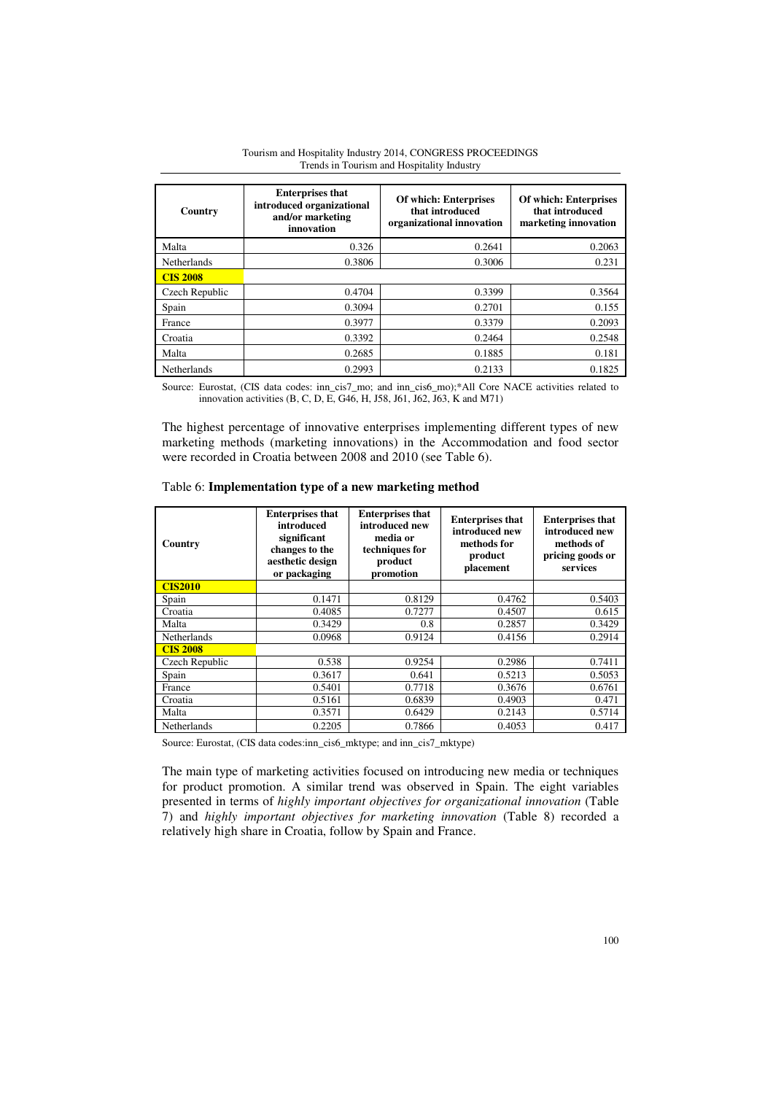| Country            | <b>Enterprises that</b><br>introduced organizational<br>and/or marketing<br>innovation | <b>Of which: Enterprises</b><br>that introduced<br>organizational innovation | <b>Of which: Enterprises</b><br>that introduced<br>marketing innovation |
|--------------------|----------------------------------------------------------------------------------------|------------------------------------------------------------------------------|-------------------------------------------------------------------------|
| Malta              | 0.326                                                                                  | 0.2641                                                                       | 0.2063                                                                  |
| <b>Netherlands</b> | 0.3806                                                                                 | 0.3006                                                                       | 0.231                                                                   |
| <b>CIS 2008</b>    |                                                                                        |                                                                              |                                                                         |
| Czech Republic     | 0.4704                                                                                 | 0.3399                                                                       | 0.3564                                                                  |
| Spain              | 0.3094                                                                                 | 0.2701                                                                       | 0.155                                                                   |
| France             | 0.3977                                                                                 | 0.3379                                                                       | 0.2093                                                                  |
| Croatia            | 0.3392                                                                                 | 0.2464                                                                       | 0.2548                                                                  |
| Malta              | 0.2685                                                                                 | 0.1885                                                                       | 0.181                                                                   |
| Netherlands        | 0.2993                                                                                 | 0.2133                                                                       | 0.1825                                                                  |

Source: Eurostat, (CIS data codes: inn\_cis7\_mo; and inn\_cis6\_mo);\*All Core NACE activities related to innovation activities (B, C, D, E, G46, H, J58, J61, J62, J63, K and M71)

The highest percentage of innovative enterprises implementing different types of new marketing methods (marketing innovations) in the Accommodation and food sector were recorded in Croatia between 2008 and 2010 (see Table 6).

| Country            | <b>Enterprises that</b><br>introduced<br>significant<br>changes to the<br>aesthetic design<br>or packaging | <b>Enterprises that</b><br>introduced new<br>media or<br>techniques for<br>product<br>promotion | <b>Enterprises that</b><br>introduced new<br>methods for<br>product<br>placement | <b>Enterprises that</b><br>introduced new<br>methods of<br>pricing goods or<br>services |
|--------------------|------------------------------------------------------------------------------------------------------------|-------------------------------------------------------------------------------------------------|----------------------------------------------------------------------------------|-----------------------------------------------------------------------------------------|
| <b>CIS2010</b>     |                                                                                                            |                                                                                                 |                                                                                  |                                                                                         |
| Spain              | 0.1471                                                                                                     | 0.8129                                                                                          | 0.4762                                                                           | 0.5403                                                                                  |
| Croatia            | 0.4085                                                                                                     | 0.7277                                                                                          | 0.4507                                                                           | 0.615                                                                                   |
| Malta              | 0.3429                                                                                                     | 0.8                                                                                             | 0.2857                                                                           | 0.3429                                                                                  |
| <b>Netherlands</b> | 0.0968                                                                                                     | 0.9124                                                                                          | 0.4156                                                                           | 0.2914                                                                                  |
| <b>CIS 2008</b>    |                                                                                                            |                                                                                                 |                                                                                  |                                                                                         |
| Czech Republic     | 0.538                                                                                                      | 0.9254                                                                                          | 0.2986                                                                           | 0.7411                                                                                  |
| Spain              | 0.3617                                                                                                     | 0.641                                                                                           | 0.5213                                                                           | 0.5053                                                                                  |
| France             | 0.5401                                                                                                     | 0.7718                                                                                          | 0.3676                                                                           | 0.6761                                                                                  |
| Croatia            | 0.5161                                                                                                     | 0.6839                                                                                          | 0.4903                                                                           | 0.471                                                                                   |
| Malta              | 0.3571                                                                                                     | 0.6429                                                                                          | 0.2143                                                                           | 0.5714                                                                                  |
| Netherlands        | 0.2205                                                                                                     | 0.7866                                                                                          | 0.4053                                                                           | 0.417                                                                                   |

Source: Eurostat, (CIS data codes:inn\_cis6\_mktype; and inn\_cis7\_mktype)

The main type of marketing activities focused on introducing new media or techniques for product promotion. A similar trend was observed in Spain. The eight variables presented in terms of *highly important objectives for organizational innovation* (Table 7) and *highly important objectives for marketing innovation* (Table 8) recorded a relatively high share in Croatia, follow by Spain and France.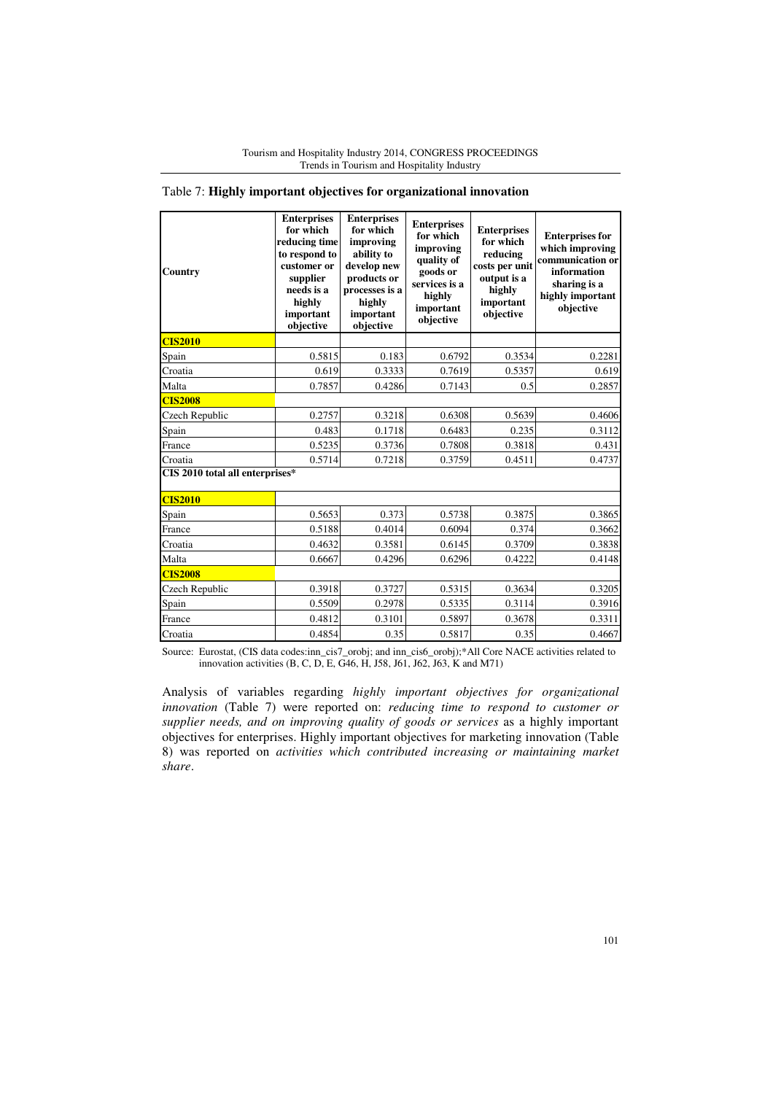| Tourism and Hospitality Industry 2014, CONGRESS PROCEEDINGS |
|-------------------------------------------------------------|
| Trends in Tourism and Hospitality Industry                  |

| Country                         | <b>Enterprises</b><br>for which<br>reducing time<br>to respond to<br>customer or<br>supplier<br>needs is a<br>highly<br>important<br>objective | <b>Enterprises</b><br>for which<br>improving<br>ability to<br>develop new<br>products or<br>processes is a<br>highly<br>important<br>objective | <b>Enterprises</b><br>for which<br>improving<br>quality of<br>goods or<br>services is a<br>highly<br>important<br>objective | <b>Enterprises</b><br>for which<br>reducing<br>costs per unit<br>output is a<br>highly<br>important<br>objective | <b>Enterprises for</b><br>which improving<br>communication or<br>information<br>sharing is a<br>highly important<br>objective |
|---------------------------------|------------------------------------------------------------------------------------------------------------------------------------------------|------------------------------------------------------------------------------------------------------------------------------------------------|-----------------------------------------------------------------------------------------------------------------------------|------------------------------------------------------------------------------------------------------------------|-------------------------------------------------------------------------------------------------------------------------------|
| <b>CIS2010</b>                  |                                                                                                                                                |                                                                                                                                                |                                                                                                                             |                                                                                                                  |                                                                                                                               |
| Spain                           | 0.5815                                                                                                                                         | 0.183                                                                                                                                          | 0.6792                                                                                                                      | 0.3534                                                                                                           | 0.2281                                                                                                                        |
| Croatia                         | 0.619                                                                                                                                          | 0.3333                                                                                                                                         | 0.7619                                                                                                                      | 0.5357                                                                                                           | 0.619                                                                                                                         |
| Malta                           | 0.7857                                                                                                                                         | 0.4286                                                                                                                                         | 0.7143                                                                                                                      | 0.5                                                                                                              | 0.2857                                                                                                                        |
| <b>CIS2008</b>                  |                                                                                                                                                |                                                                                                                                                |                                                                                                                             |                                                                                                                  |                                                                                                                               |
| Czech Republic                  | 0.2757                                                                                                                                         | 0.3218                                                                                                                                         | 0.6308                                                                                                                      | 0.5639                                                                                                           | 0.4606                                                                                                                        |
| Spain                           | 0.483                                                                                                                                          | 0.1718                                                                                                                                         | 0.6483                                                                                                                      | 0.235                                                                                                            | 0.3112                                                                                                                        |
| France                          | 0.5235                                                                                                                                         | 0.3736                                                                                                                                         | 0.7808                                                                                                                      | 0.3818                                                                                                           | 0.431                                                                                                                         |
| Croatia                         | 0.5714                                                                                                                                         | 0.7218                                                                                                                                         | 0.3759                                                                                                                      | 0.4511                                                                                                           | 0.4737                                                                                                                        |
| CIS 2010 total all enterprises* |                                                                                                                                                |                                                                                                                                                |                                                                                                                             |                                                                                                                  |                                                                                                                               |
| <b>CIS2010</b>                  |                                                                                                                                                |                                                                                                                                                |                                                                                                                             |                                                                                                                  |                                                                                                                               |
| Spain                           | 0.5653                                                                                                                                         | 0.373                                                                                                                                          | 0.5738                                                                                                                      | 0.3875                                                                                                           | 0.3865                                                                                                                        |
| France                          | 0.5188                                                                                                                                         | 0.4014                                                                                                                                         | 0.6094                                                                                                                      | 0.374                                                                                                            | 0.3662                                                                                                                        |
| Croatia                         | 0.4632                                                                                                                                         | 0.3581                                                                                                                                         | 0.6145                                                                                                                      | 0.3709                                                                                                           | 0.3838                                                                                                                        |
| Malta                           | 0.6667                                                                                                                                         | 0.4296                                                                                                                                         | 0.6296                                                                                                                      | 0.4222                                                                                                           | 0.4148                                                                                                                        |
| <b>CIS2008</b>                  |                                                                                                                                                |                                                                                                                                                |                                                                                                                             |                                                                                                                  |                                                                                                                               |
| Czech Republic                  | 0.3918                                                                                                                                         | 0.3727                                                                                                                                         | 0.5315                                                                                                                      | 0.3634                                                                                                           | 0.3205                                                                                                                        |
| Spain                           | 0.5509                                                                                                                                         | 0.2978                                                                                                                                         | 0.5335                                                                                                                      | 0.3114                                                                                                           | 0.3916                                                                                                                        |
| France                          | 0.4812                                                                                                                                         | 0.3101                                                                                                                                         | 0.5897                                                                                                                      | 0.3678                                                                                                           | 0.3311                                                                                                                        |
| Croatia                         | 0.4854                                                                                                                                         | 0.35                                                                                                                                           | 0.5817                                                                                                                      | 0.35                                                                                                             | 0.4667                                                                                                                        |

## Table 7: **Highly important objectives for organizational innovation**

Source: Eurostat, (CIS data codes:inn\_cis7\_orobj; and inn\_cis6\_orobj);\*All Core NACE activities related to innovation activities (B, C, D, E, G46, H, J58, J61, J62, J63, K and M71)

Analysis of variables regarding *highly important objectives for organizational innovation* (Table 7) were reported on: *reducing time to respond to customer or supplier needs, and on improving quality of goods or services* as a highly important objectives for enterprises. Highly important objectives for marketing innovation (Table 8) was reported on *activities which contributed increasing or maintaining market share*.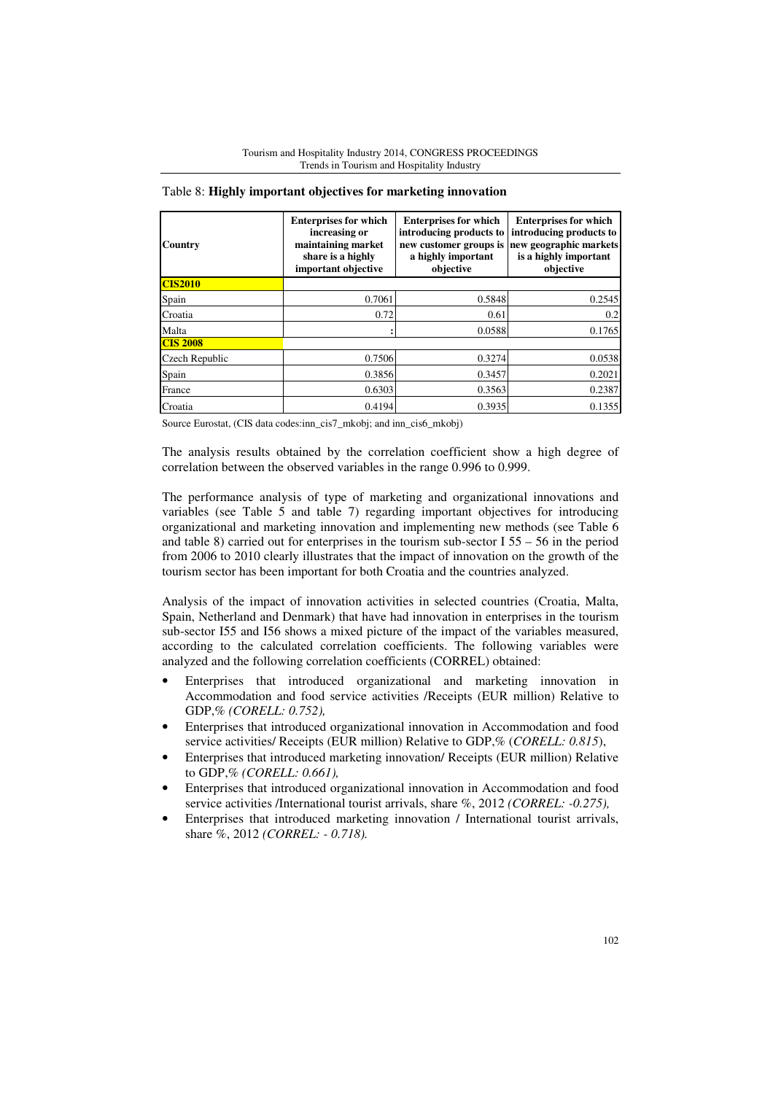| <b>Country</b>  | <b>Enterprises for which</b><br>increasing or<br>maintaining market<br>share is a highly<br>important objective | <b>Enterprises for which</b><br>introducing products to<br>new customer groups is<br>a highly important<br>objective | <b>Enterprises for which</b><br>introducing products to<br>new geographic markets<br>is a highly important<br>objective |
|-----------------|-----------------------------------------------------------------------------------------------------------------|----------------------------------------------------------------------------------------------------------------------|-------------------------------------------------------------------------------------------------------------------------|
| <b>CIS2010</b>  |                                                                                                                 |                                                                                                                      |                                                                                                                         |
| Spain           | 0.7061                                                                                                          | 0.5848                                                                                                               | 0.2545                                                                                                                  |
| Croatia         | 0.72                                                                                                            | 0.61                                                                                                                 | 0.2                                                                                                                     |
| Malta           |                                                                                                                 | 0.0588                                                                                                               | 0.1765                                                                                                                  |
| <b>CIS 2008</b> |                                                                                                                 |                                                                                                                      |                                                                                                                         |
| Czech Republic  | 0.7506                                                                                                          | 0.3274                                                                                                               | 0.0538                                                                                                                  |
| Spain           | 0.3856                                                                                                          | 0.3457                                                                                                               | 0.2021                                                                                                                  |
| France          | 0.6303                                                                                                          | 0.3563                                                                                                               | 0.2387                                                                                                                  |
| Croatia         | 0.4194                                                                                                          | 0.3935                                                                                                               | 0.1355                                                                                                                  |

### Table 8: **Highly important objectives for marketing innovation**

Source Eurostat, (CIS data codes:inn\_cis7\_mkobi; and inn\_cis6\_mkobi)

The analysis results obtained by the correlation coefficient show a high degree of correlation between the observed variables in the range 0.996 to 0.999.

The performance analysis of type of marketing and organizational innovations and variables (see Table 5 and table 7) regarding important objectives for introducing organizational and marketing innovation and implementing new methods (see Table 6 and table 8) carried out for enterprises in the tourism sub-sector  $I$  55 – 56 in the period from 2006 to 2010 clearly illustrates that the impact of innovation on the growth of the tourism sector has been important for both Croatia and the countries analyzed.

Analysis of the impact of innovation activities in selected countries (Croatia, Malta, Spain, Netherland and Denmark) that have had innovation in enterprises in the tourism sub-sector I55 and I56 shows a mixed picture of the impact of the variables measured, according to the calculated correlation coefficients. The following variables were analyzed and the following correlation coefficients (CORREL) obtained:

- Enterprises that introduced organizational and marketing innovation in Accommodation and food service activities /Receipts (EUR million) Relative to GDP,% *(CORELL: 0.752),*
- Enterprises that introduced organizational innovation in Accommodation and food service activities/ Receipts (EUR million) Relative to GDP,% (*CORELL: 0.815*),
- Enterprises that introduced marketing innovation/ Receipts (EUR million) Relative to GDP,% *(CORELL: 0.661),*
- Enterprises that introduced organizational innovation in Accommodation and food service activities /International tourist arrivals, share %, 2012 *(CORREL: -0.275),*
- Enterprises that introduced marketing innovation / International tourist arrivals, share %, 2012 *(CORREL: - 0.718).*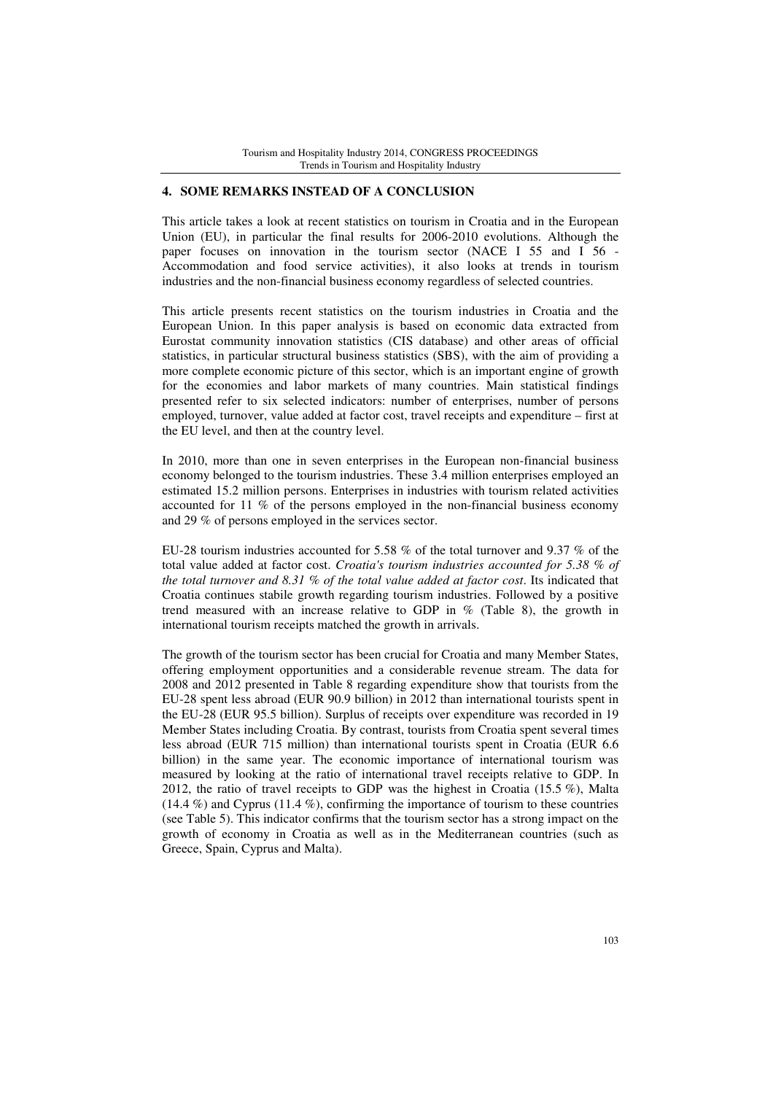## **4. SOME REMARKS INSTEAD OF A CONCLUSION**

This article takes a look at recent statistics on tourism in Croatia and in the European Union (EU), in particular the final results for 2006-2010 evolutions. Although the paper focuses on innovation in the tourism sector (NACE I 55 and I 56 - Accommodation and food service activities), it also looks at trends in tourism industries and the non-financial business economy regardless of selected countries.

This article presents recent statistics on the tourism industries in Croatia and the European Union. In this paper analysis is based on economic data extracted from Eurostat community innovation statistics (CIS database) and other areas of official statistics, in particular structural business statistics (SBS), with the aim of providing a more complete economic picture of this sector, which is an important engine of growth for the economies and labor markets of many countries. Main statistical findings presented refer to six selected indicators: number of enterprises, number of persons employed, turnover, value added at factor cost, travel receipts and expenditure – first at the EU level, and then at the country level.

In 2010, more than one in seven enterprises in the European non-financial business economy belonged to the tourism industries. These 3.4 million enterprises employed an estimated 15.2 million persons. Enterprises in industries with tourism related activities accounted for 11 % of the persons employed in the non-financial business economy and 29 % of persons employed in the services sector.

EU-28 tourism industries accounted for 5.58 % of the total turnover and 9.37 % of the total value added at factor cost. *Croatia's tourism industries accounted for 5.38 % of the total turnover and 8.31 % of the total value added at factor cost*. Its indicated that Croatia continues stabile growth regarding tourism industries. Followed by a positive trend measured with an increase relative to GDP in % (Table 8), the growth in international tourism receipts matched the growth in arrivals.

The growth of the tourism sector has been crucial for Croatia and many Member States, offering employment opportunities and a considerable revenue stream. The data for 2008 and 2012 presented in Table 8 regarding expenditure show that tourists from the EU-28 spent less abroad (EUR 90.9 billion) in 2012 than international tourists spent in the EU-28 (EUR 95.5 billion). Surplus of receipts over expenditure was recorded in 19 Member States including Croatia. By contrast, tourists from Croatia spent several times less abroad (EUR 715 million) than international tourists spent in Croatia (EUR 6.6 billion) in the same year. The economic importance of international tourism was measured by looking at the ratio of international travel receipts relative to GDP. In 2012, the ratio of travel receipts to GDP was the highest in Croatia (15.5 %), Malta  $(14.4\%)$  and Cyprus  $(11.4\%)$ , confirming the importance of tourism to these countries (see Table 5). This indicator confirms that the tourism sector has a strong impact on the growth of economy in Croatia as well as in the Mediterranean countries (such as Greece, Spain, Cyprus and Malta).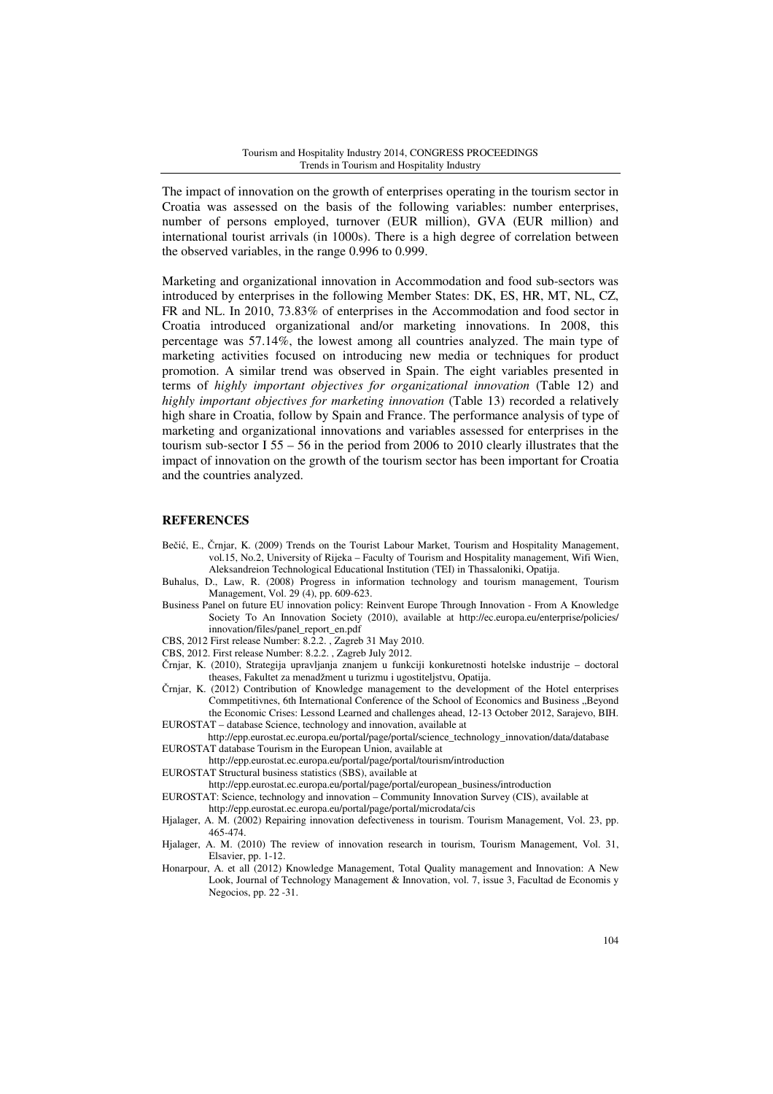The impact of innovation on the growth of enterprises operating in the tourism sector in Croatia was assessed on the basis of the following variables: number enterprises, number of persons employed, turnover (EUR million), GVA (EUR million) and international tourist arrivals (in 1000s). There is a high degree of correlation between the observed variables, in the range 0.996 to 0.999.

Marketing and organizational innovation in Accommodation and food sub-sectors was introduced by enterprises in the following Member States: DK, ES, HR, MT, NL, CZ, FR and NL. In 2010, 73.83% of enterprises in the Accommodation and food sector in Croatia introduced organizational and/or marketing innovations. In 2008, this percentage was 57.14%, the lowest among all countries analyzed. The main type of marketing activities focused on introducing new media or techniques for product promotion. A similar trend was observed in Spain. The eight variables presented in terms of *highly important objectives for organizational innovation* (Table 12) and *highly important objectives for marketing innovation* (Table 13) recorded a relatively high share in Croatia, follow by Spain and France. The performance analysis of type of marketing and organizational innovations and variables assessed for enterprises in the tourism sub-sector I  $55 - 56$  in the period from 2006 to 2010 clearly illustrates that the impact of innovation on the growth of the tourism sector has been important for Croatia and the countries analyzed.

### **REFERENCES**

- Bečić, E., Črnjar, K. (2009) Trends on the Tourist Labour Market, Tourism and Hospitality Management, vol.15, No.2, University of Rijeka – Faculty of Tourism and Hospitality management, Wifi Wien, Aleksandreion Technological Educational Institution (TEI) in Thassaloniki, Opatija.
- Buhalus, D., Law, R. (2008) Progress in information technology and tourism management, Tourism Management, Vol. 29 (4), pp. 609-623.
- Business Panel on future EU innovation policy: Reinvent Europe Through Innovation From A Knowledge Society To An Innovation Society (2010), available at http://ec.europa.eu/enterprise/policies/ innovation/files/panel\_report\_en.pdf
- CBS, 2012 First release Number: 8.2.2. , Zagreb 31 May 2010.
- CBS, 2012. First release Number: 8.2.2. , Zagreb July 2012.
- Črnjar, K. (2010), Strategija upravljanja znanjem u funkciji konkuretnosti hotelske industrije doctoral theases, Fakultet za menadžment u turizmu i ugostiteljstvu, Opatija.
- Črnjar, K. (2012) Contribution of Knowledge management to the development of the Hotel enterprises Commpetitivnes, 6th International Conference of the School of Economics and Business "Beyond the Economic Crises: Lessond Learned and challenges ahead, 12-13 October 2012, Sarajevo, BIH.
- EUROSTAT database Science, technology and innovation, available at http://epp.eurostat.ec.europa.eu/portal/page/portal/science\_technology\_innovation/data/database EUROSTAT database Tourism in the European Union, available at
- http://epp.eurostat.ec.europa.eu/portal/page/portal/tourism/introduction
- EUROSTAT Structural business statistics (SBS), available at
- http://epp.eurostat.ec.europa.eu/portal/page/portal/european\_business/introduction
- EUROSTAT: Science, technology and innovation Community Innovation Survey (CIS), available at http://epp.eurostat.ec.europa.eu/portal/page/portal/microdata/cis
- Hjalager, A. M. (2002) Repairing innovation defectiveness in tourism. Tourism Management, Vol. 23, pp. 465-474.
- Hjalager, A. M. (2010) The review of innovation research in tourism, Tourism Management, Vol. 31, Elsavier, pp. 1-12.
- Honarpour, A. et all (2012) Knowledge Management, Total Quality management and Innovation: A New Look, Journal of Technology Management & Innovation, vol. 7, issue 3, Facultad de Economis y Negocios, pp. 22 -31.